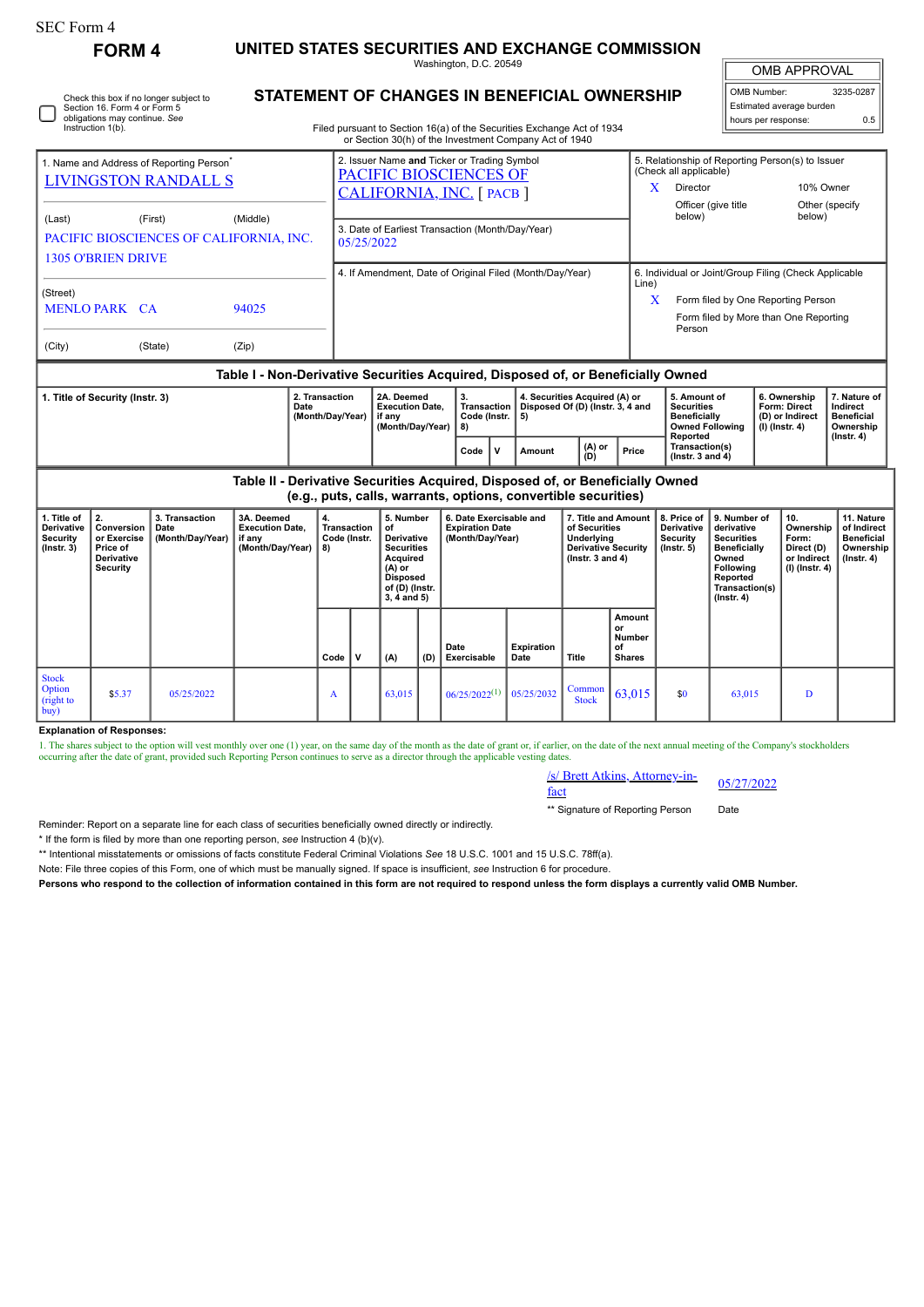| SEC Form 4                                                                                            | <b>FORM 4</b>                                                                      |                                            | UNITED STATES SECURITIES AND EXCHANGE COMMISSION                              |                                                                                                                                                                                  |                                                                    |                                                                                                                                    |     |                                                                       |                                                                                                                                                             |                                                                                                     |                                                                |                                                                                                                                                              |                                                                                                                                                |                                                                            |                                                                                 |  |
|-------------------------------------------------------------------------------------------------------|------------------------------------------------------------------------------------|--------------------------------------------|-------------------------------------------------------------------------------|----------------------------------------------------------------------------------------------------------------------------------------------------------------------------------|--------------------------------------------------------------------|------------------------------------------------------------------------------------------------------------------------------------|-----|-----------------------------------------------------------------------|-------------------------------------------------------------------------------------------------------------------------------------------------------------|-----------------------------------------------------------------------------------------------------|----------------------------------------------------------------|--------------------------------------------------------------------------------------------------------------------------------------------------------------|------------------------------------------------------------------------------------------------------------------------------------------------|----------------------------------------------------------------------------|---------------------------------------------------------------------------------|--|
| Washington, D.C. 20549                                                                                |                                                                                    |                                            |                                                                               |                                                                                                                                                                                  |                                                                    |                                                                                                                                    |     |                                                                       |                                                                                                                                                             |                                                                                                     |                                                                |                                                                                                                                                              |                                                                                                                                                | <b>OMB APPROVAL</b>                                                        |                                                                                 |  |
|                                                                                                       | Section 16. Form 4 or Form 5<br>obligations may continue. See<br>Instruction 1(b). | Check this box if no longer subject to     |                                                                               | STATEMENT OF CHANGES IN BENEFICIAL OWNERSHIP<br>Filed pursuant to Section 16(a) of the Securities Exchange Act of 1934<br>or Section 30(h) of the Investment Company Act of 1940 |                                                                    |                                                                                                                                    |     |                                                                       |                                                                                                                                                             |                                                                                                     | OMB Number:<br>Estimated average burden<br>hours per response: |                                                                                                                                                              |                                                                                                                                                | 3235-0287<br>0.5                                                           |                                                                                 |  |
| 1. Name and Address of Reporting Person <sup>®</sup><br><b>LIVINGSTON RANDALL S</b>                   |                                                                                    |                                            |                                                                               |                                                                                                                                                                                  |                                                                    | 2. Issuer Name and Ticker or Trading Symbol<br>PACIFIC BIOSCIENCES OF<br>CALIFORNIA, INC. [ PACB ]                                 |     |                                                                       |                                                                                                                                                             |                                                                                                     |                                                                |                                                                                                                                                              | 5. Relationship of Reporting Person(s) to Issuer<br>(Check all applicable)<br>X.<br>Director<br>10% Owner                                      |                                                                            |                                                                                 |  |
| (First)<br>(Middle)<br>(Last)<br>PACIFIC BIOSCIENCES OF CALIFORNIA, INC.<br><b>1305 O'BRIEN DRIVE</b> |                                                                                    |                                            |                                                                               |                                                                                                                                                                                  | 3. Date of Earliest Transaction (Month/Day/Year)<br>05/25/2022     |                                                                                                                                    |     |                                                                       |                                                                                                                                                             |                                                                                                     |                                                                | Officer (give title<br>Other (specify<br>below)<br>below)                                                                                                    |                                                                                                                                                |                                                                            |                                                                                 |  |
| (Street)<br><b>MENLO PARK CA</b><br>94025                                                             |                                                                                    |                                            |                                                                               |                                                                                                                                                                                  | 4. If Amendment, Date of Original Filed (Month/Day/Year)           |                                                                                                                                    |     |                                                                       |                                                                                                                                                             |                                                                                                     |                                                                | 6. Individual or Joint/Group Filing (Check Applicable<br>Line)<br>Form filed by One Reporting Person<br>X<br>Form filed by More than One Reporting<br>Person |                                                                                                                                                |                                                                            |                                                                                 |  |
| (City)                                                                                                |                                                                                    | (State)                                    | (Zip)                                                                         |                                                                                                                                                                                  |                                                                    |                                                                                                                                    |     |                                                                       |                                                                                                                                                             |                                                                                                     |                                                                |                                                                                                                                                              |                                                                                                                                                |                                                                            |                                                                                 |  |
| 2. Transaction<br>1. Title of Security (Instr. 3)<br>Date<br>(Month/Day/Year)                         |                                                                                    |                                            |                                                                               |                                                                                                                                                                                  | 2A. Deemed<br><b>Execution Date.</b><br>if any<br>(Month/Day/Year) |                                                                                                                                    |     | 3.<br><b>Transaction</b><br>Code (Instr.<br>8)                        | Table I - Non-Derivative Securities Acquired, Disposed of, or Beneficially Owned<br>4. Securities Acquired (A) or<br>Disposed Of (D) (Instr. 3, 4 and<br>5) |                                                                                                     |                                                                | 5. Amount of<br><b>Securities</b><br><b>Beneficially</b>                                                                                                     | <b>Owned Following</b>                                                                                                                         | 6. Ownership<br><b>Form: Direct</b><br>(D) or Indirect<br>$(I)$ (Instr. 4) | 7. Nature of<br>Indirect<br><b>Beneficial</b><br>Ownership                      |  |
|                                                                                                       |                                                                                    |                                            |                                                                               |                                                                                                                                                                                  |                                                                    |                                                                                                                                    |     | $\mathbf v$<br>Code                                                   | Amount                                                                                                                                                      | (A) or<br>(D)                                                                                       | Price                                                          | Reported<br>Transaction(s)<br>(Instr. $3$ and $4$ )                                                                                                          |                                                                                                                                                |                                                                            | $($ Instr. 4 $)$                                                                |  |
|                                                                                                       |                                                                                    |                                            | Table II - Derivative Securities Acquired, Disposed of, or Beneficially Owned |                                                                                                                                                                                  |                                                                    |                                                                                                                                    |     | (e.g., puts, calls, warrants, options, convertible securities)        |                                                                                                                                                             |                                                                                                     |                                                                |                                                                                                                                                              |                                                                                                                                                |                                                                            |                                                                                 |  |
| 1. Title of<br>Derivative<br>Security<br>$($ Instr. 3 $)$                                             | 2.<br>Conversion<br>or Exercise<br>Price of<br><b>Derivative</b><br>Security       | 3. Transaction<br>Date<br>(Month/Day/Year) | 3A. Deemed<br><b>Execution Date,</b><br>if anv<br>(Month/Day/Year)            | 4.<br>8)                                                                                                                                                                         | <b>Transaction</b><br>Code (Instr.                                 | 5. Number<br>of<br>Derivative<br><b>Securities</b><br>Acquired<br>$(A)$ or<br><b>Disposed</b><br>of (D) (Instr.<br>$3, 4$ and $5)$ |     | 6. Date Exercisable and<br><b>Expiration Date</b><br>(Month/Day/Year) |                                                                                                                                                             | 7. Title and Amount<br>of Securities<br>Underlying<br>Derivative Security<br>$($ Instr. 3 and 4 $)$ |                                                                | 8. Price of<br>Derivative<br>Security<br>$($ Instr. 5 $)$                                                                                                    | 9. Number of<br>derivative<br><b>Securities</b><br><b>Beneficially</b><br>Owned<br>Following<br>Reported<br>Transaction(s)<br>$($ Instr. 4 $)$ | 10.<br>Ownership<br>Form:<br>Direct (D)<br>or Indirect<br>$(I)$ (Instr. 4) | 11. Nature<br>of Indirect<br><b>Beneficial</b><br>Ownership<br>$($ lnstr. 4 $)$ |  |
|                                                                                                       |                                                                                    |                                            |                                                                               | Code                                                                                                                                                                             | $\mathsf{v}$                                                       | (A)                                                                                                                                | (D) | Date<br>Exercisable                                                   | <b>Expiration</b><br>Date                                                                                                                                   | <b>Title</b>                                                                                        | Amount<br>or<br>Number<br>of<br><b>Shares</b>                  |                                                                                                                                                              |                                                                                                                                                |                                                                            |                                                                                 |  |
| <b>Stock</b><br>Option<br>(right to<br>buv                                                            | \$5.37                                                                             | 05/25/2022                                 |                                                                               | A                                                                                                                                                                                |                                                                    | 63.015                                                                                                                             |     | $06/25/2022^{(1)}$                                                    | 05/25/2032                                                                                                                                                  | Common<br><b>Stock</b>                                                                              | 63.015                                                         | \$0                                                                                                                                                          | 63.015                                                                                                                                         | D                                                                          |                                                                                 |  |

**Explanation of Responses:**

1. The shares subject to the option will vest monthly over one (1) year, on the same day of the month as the date of grant or, if earlier, on the date of the next annual meeting of the Company's stockholders occurring afte

/s/ Brett Atkins, Attorney-in-<br>fact

\*\* Signature of Reporting Person Date

Reminder: Report on a separate line for each class of securities beneficially owned directly or indirectly.

\* If the form is filed by more than one reporting person, *see* Instruction 4 (b)(v).

\*\* Intentional misstatements or omissions of facts constitute Federal Criminal Violations *See* 18 U.S.C. 1001 and 15 U.S.C. 78ff(a).

Note: File three copies of this Form, one of which must be manually signed. If space is insufficient, *see* Instruction 6 for procedure.

**Persons who respond to the collection of information contained in this form are not required to respond unless the form displays a currently valid OMB Number.**